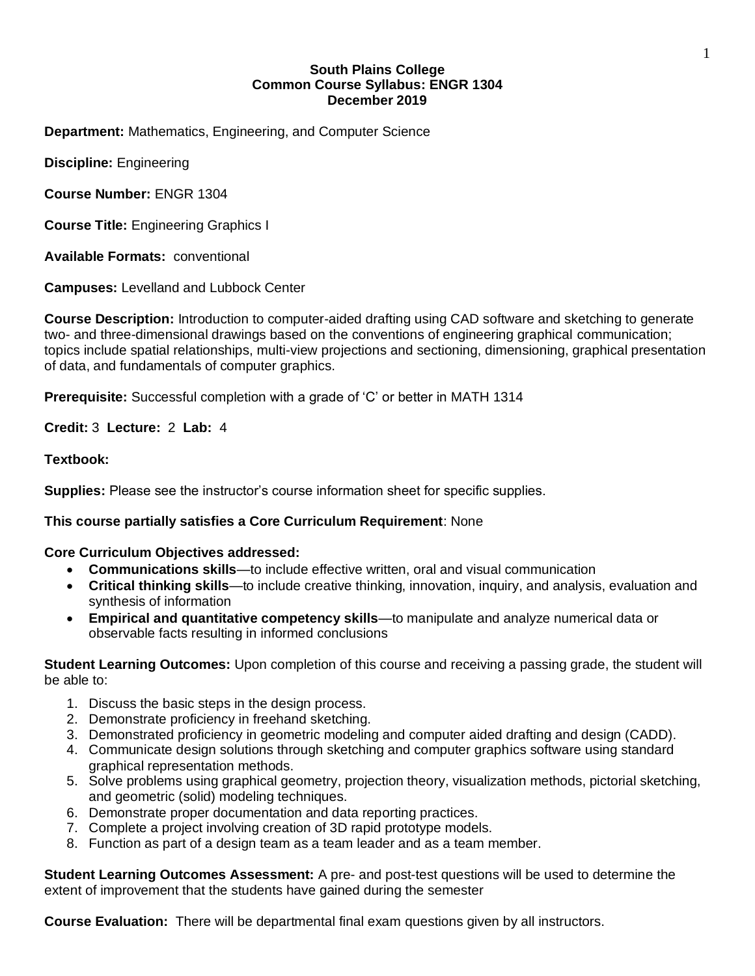# **South Plains College Common Course Syllabus: ENGR 1304 December 2019**

**Department:** Mathematics, Engineering, and Computer Science

**Discipline:** Engineering

**Course Number:** ENGR 1304

**Course Title:** Engineering Graphics I

**Available Formats:** conventional

**Campuses:** Levelland and Lubbock Center

**Course Description:** Introduction to computer-aided drafting using CAD software and sketching to generate two- and three-dimensional drawings based on the conventions of engineering graphical communication; topics include spatial relationships, multi-view projections and sectioning, dimensioning, graphical presentation of data, and fundamentals of computer graphics.

**Prerequisite:** Successful completion with a grade of 'C' or better in MATH 1314

**Credit:** 3 **Lecture:** 2 **Lab:** 4

## **Textbook:**

**Supplies:** Please see the instructor's course information sheet for specific supplies.

# **This course partially satisfies a Core Curriculum Requirement**: None

## **Core Curriculum Objectives addressed:**

- **Communications skills**—to include effective written, oral and visual communication
- **Critical thinking skills**—to include creative thinking, innovation, inquiry, and analysis, evaluation and synthesis of information
- **Empirical and quantitative competency skills**—to manipulate and analyze numerical data or observable facts resulting in informed conclusions

**Student Learning Outcomes:** Upon completion of this course and receiving a passing grade, the student will be able to:

- 1. Discuss the basic steps in the design process.
- 2. Demonstrate proficiency in freehand sketching.
- 3. Demonstrated proficiency in geometric modeling and computer aided drafting and design (CADD).
- 4. Communicate design solutions through sketching and computer graphics software using standard graphical representation methods.
- 5. Solve problems using graphical geometry, projection theory, visualization methods, pictorial sketching, and geometric (solid) modeling techniques.
- 6. Demonstrate proper documentation and data reporting practices.
- 7. Complete a project involving creation of 3D rapid prototype models.
- 8. Function as part of a design team as a team leader and as a team member.

**Student Learning Outcomes Assessment:** A pre- and post-test questions will be used to determine the extent of improvement that the students have gained during the semester

**Course Evaluation:** There will be departmental final exam questions given by all instructors.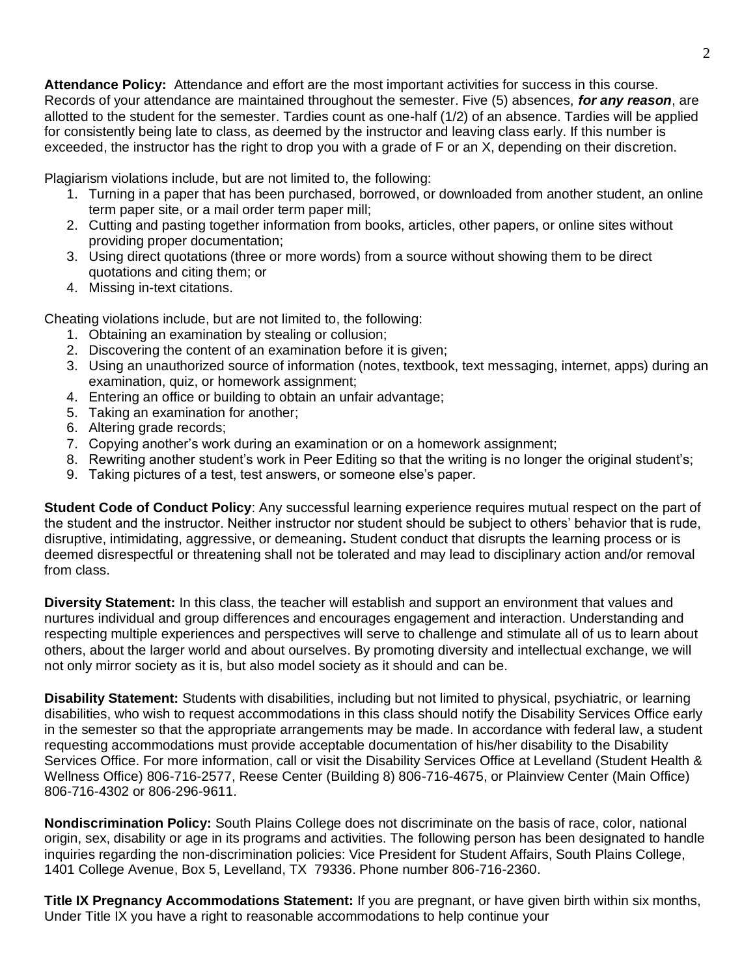**Attendance Policy:** Attendance and effort are the most important activities for success in this course. Records of your attendance are maintained throughout the semester. Five (5) absences, *for any reason*, are allotted to the student for the semester. Tardies count as one-half (1/2) of an absence. Tardies will be applied for consistently being late to class, as deemed by the instructor and leaving class early. If this number is exceeded, the instructor has the right to drop you with a grade of F or an X, depending on their discretion.

Plagiarism violations include, but are not limited to, the following:

- 1. Turning in a paper that has been purchased, borrowed, or downloaded from another student, an online term paper site, or a mail order term paper mill;
- 2. Cutting and pasting together information from books, articles, other papers, or online sites without providing proper documentation;
- 3. Using direct quotations (three or more words) from a source without showing them to be direct quotations and citing them; or
- 4. Missing in-text citations.

Cheating violations include, but are not limited to, the following:

- 1. Obtaining an examination by stealing or collusion;
- 2. Discovering the content of an examination before it is given;
- 3. Using an unauthorized source of information (notes, textbook, text messaging, internet, apps) during an examination, quiz, or homework assignment;
- 4. Entering an office or building to obtain an unfair advantage;
- 5. Taking an examination for another;
- 6. Altering grade records;
- 7. Copying another's work during an examination or on a homework assignment;
- 8. Rewriting another student's work in Peer Editing so that the writing is no longer the original student's;
- 9. Taking pictures of a test, test answers, or someone else's paper.

**Student Code of Conduct Policy**: Any successful learning experience requires mutual respect on the part of the student and the instructor. Neither instructor nor student should be subject to others' behavior that is rude, disruptive, intimidating, aggressive, or demeaning**.** Student conduct that disrupts the learning process or is deemed disrespectful or threatening shall not be tolerated and may lead to disciplinary action and/or removal from class.

**Diversity Statement:** In this class, the teacher will establish and support an environment that values and nurtures individual and group differences and encourages engagement and interaction. Understanding and respecting multiple experiences and perspectives will serve to challenge and stimulate all of us to learn about others, about the larger world and about ourselves. By promoting diversity and intellectual exchange, we will not only mirror society as it is, but also model society as it should and can be.

**Disability Statement:** Students with disabilities, including but not limited to physical, psychiatric, or learning disabilities, who wish to request accommodations in this class should notify the Disability Services Office early in the semester so that the appropriate arrangements may be made. In accordance with federal law, a student requesting accommodations must provide acceptable documentation of his/her disability to the Disability Services Office. For more information, call or visit the Disability Services Office at Levelland (Student Health & Wellness Office) 806-716-2577, Reese Center (Building 8) 806-716-4675, or Plainview Center (Main Office) 806-716-4302 or 806-296-9611.

**Nondiscrimination Policy:** South Plains College does not discriminate on the basis of race, color, national origin, sex, disability or age in its programs and activities. The following person has been designated to handle inquiries regarding the non-discrimination policies: Vice President for Student Affairs, South Plains College, 1401 College Avenue, Box 5, Levelland, TX 79336. Phone number 806-716-2360.

**Title IX Pregnancy Accommodations Statement:** If you are pregnant, or have given birth within six months, Under Title IX you have a right to reasonable accommodations to help continue your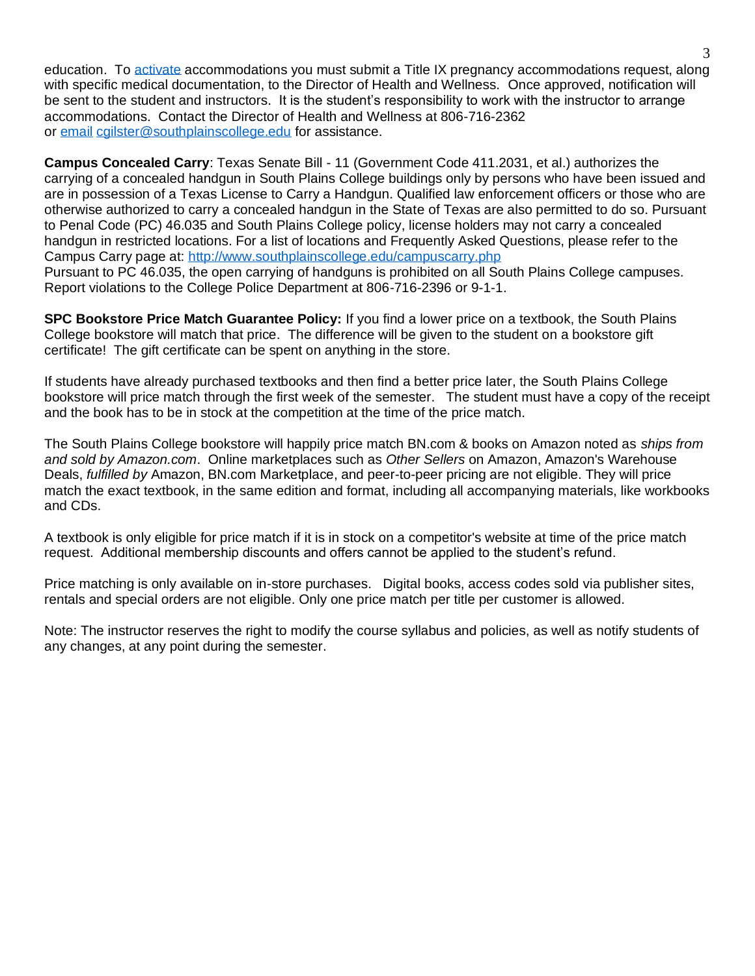education. To [activate](http://www.southplainscollege.edu/employees/manualshandbooks/facultyhandbook/sec4.php) accommodations you must submit a Title IX pregnancy accommodations request, along with specific medical documentation, to the Director of Health and Wellness. Once approved, notification will be sent to the student and instructors. It is the student's responsibility to work with the instructor to arrange accommodations. Contact the Director of Health and Wellness at 806-716-2362 or [email](http://www.southplainscollege.edu/employees/manualshandbooks/facultyhandbook/sec4.php) [cgilster@southplainscollege.edu](mailto:cgilster@southplainscollege.edu) for assistance.

**Campus Concealed Carry**: Texas Senate Bill - 11 (Government Code 411.2031, et al.) authorizes the carrying of a concealed handgun in South Plains College buildings only by persons who have been issued and are in possession of a Texas License to Carry a Handgun. Qualified law enforcement officers or those who are otherwise authorized to carry a concealed handgun in the State of Texas are also permitted to do so. Pursuant to Penal Code (PC) 46.035 and South Plains College policy, license holders may not carry a concealed handgun in restricted locations. For a list of locations and Frequently Asked Questions, please refer to the Campus Carry page at: <http://www.southplainscollege.edu/campuscarry.php> Pursuant to PC 46.035, the open carrying of handguns is prohibited on all South Plains College campuses. Report violations to the College Police Department at 806-716-2396 or 9-1-1.

**SPC Bookstore Price Match Guarantee Policy:** If you find a lower price on a textbook, the South Plains College bookstore will match that price. The difference will be given to the student on a bookstore gift certificate! The gift certificate can be spent on anything in the store.

If students have already purchased textbooks and then find a better price later, the South Plains College bookstore will price match through the first week of the semester. The student must have a copy of the receipt and the book has to be in stock at the competition at the time of the price match.

The South Plains College bookstore will happily price match BN.com & books on Amazon noted as *ships from and sold by Amazon.com*. Online marketplaces such as *Other Sellers* on Amazon, Amazon's Warehouse Deals, *fulfilled by* Amazon, BN.com Marketplace, and peer-to-peer pricing are not eligible. They will price match the exact textbook, in the same edition and format, including all accompanying materials, like workbooks and CDs.

A textbook is only eligible for price match if it is in stock on a competitor's website at time of the price match request. Additional membership discounts and offers cannot be applied to the student's refund.

Price matching is only available on in-store purchases. Digital books, access codes sold via publisher sites, rentals and special orders are not eligible. Only one price match per title per customer is allowed.

Note: The instructor reserves the right to modify the course syllabus and policies, as well as notify students of any changes, at any point during the semester.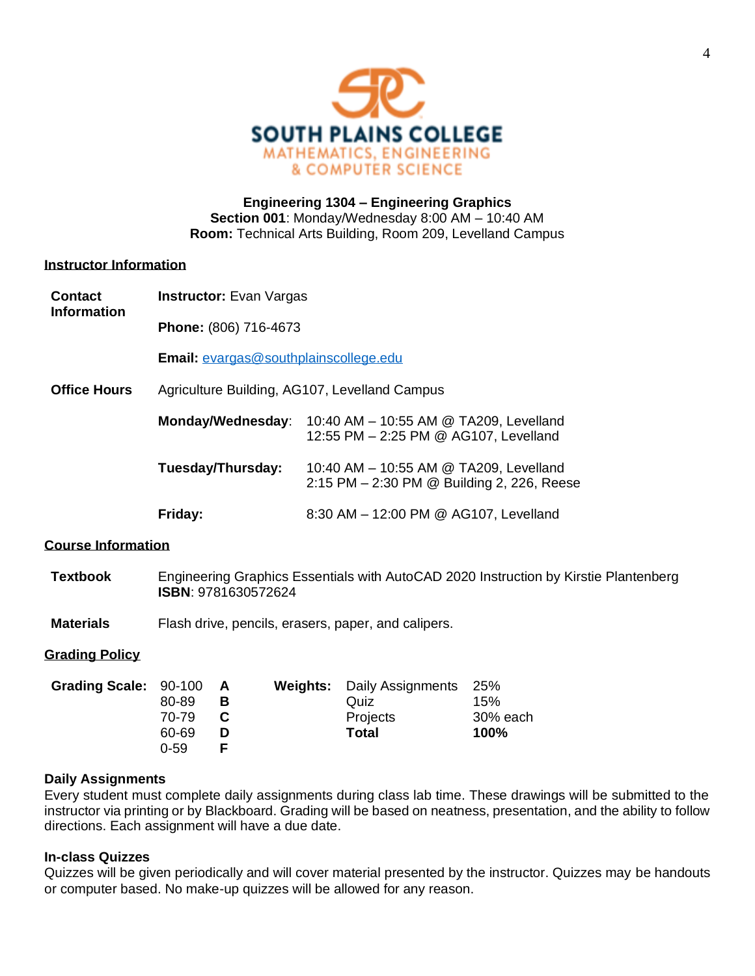

# **Engineering 1304 – Engineering Graphics Section 001**: Monday/Wednesday 8:00 AM – 10:40 AM **Room:** Technical Arts Building, Room 209, Levelland Campus

## **Instructor Information**

| <b>Contact</b><br><b>Information</b> | <b>Instructor:</b> Evan Vargas                |                                                                                      |  |  |
|--------------------------------------|-----------------------------------------------|--------------------------------------------------------------------------------------|--|--|
|                                      | Phone: (806) 716-4673                         |                                                                                      |  |  |
|                                      | <b>Email:</b> evargas@southplainscollege.edu  |                                                                                      |  |  |
| <b>Office Hours</b>                  | Agriculture Building, AG107, Levelland Campus |                                                                                      |  |  |
|                                      | Monday/Wednesday:                             | 10:40 AM - 10:55 AM @ TA209, Levelland<br>12:55 PM - 2:25 PM @ AG107, Levelland      |  |  |
|                                      | Tuesday/Thursday:                             | 10:40 AM - 10:55 AM @ TA209, Levelland<br>2:15 PM - 2:30 PM @ Building 2, 226, Reese |  |  |
|                                      | Friday:                                       | 8:30 AM - 12:00 PM @ AG107, Levelland                                                |  |  |

# **Course Information**

| Textbook | Engineering Graphics Essentials with AutoCAD 2020 Instruction by Kirstie Plantenberg |
|----------|--------------------------------------------------------------------------------------|
|          | <b>ISBN: 9781630572624</b>                                                           |

**Materials** Flash drive, pencils, erasers, paper, and calipers.

## **Grading Policy**

| Grading Scale: 90-100 A |          |   | <b>Weights:</b> Daily Assignments 25% |          |
|-------------------------|----------|---|---------------------------------------|----------|
|                         | 80-89    | в | Quiz                                  | 15%      |
|                         | 70-79    |   | Projects                              | 30% each |
|                         | 60-69    |   | Total                                 | 100%     |
|                         | $0 - 59$ |   |                                       |          |

## **Daily Assignments**

Every student must complete daily assignments during class lab time. These drawings will be submitted to the instructor via printing or by Blackboard. Grading will be based on neatness, presentation, and the ability to follow directions. Each assignment will have a due date.

## **In-class Quizzes**

Quizzes will be given periodically and will cover material presented by the instructor. Quizzes may be handouts or computer based. No make-up quizzes will be allowed for any reason.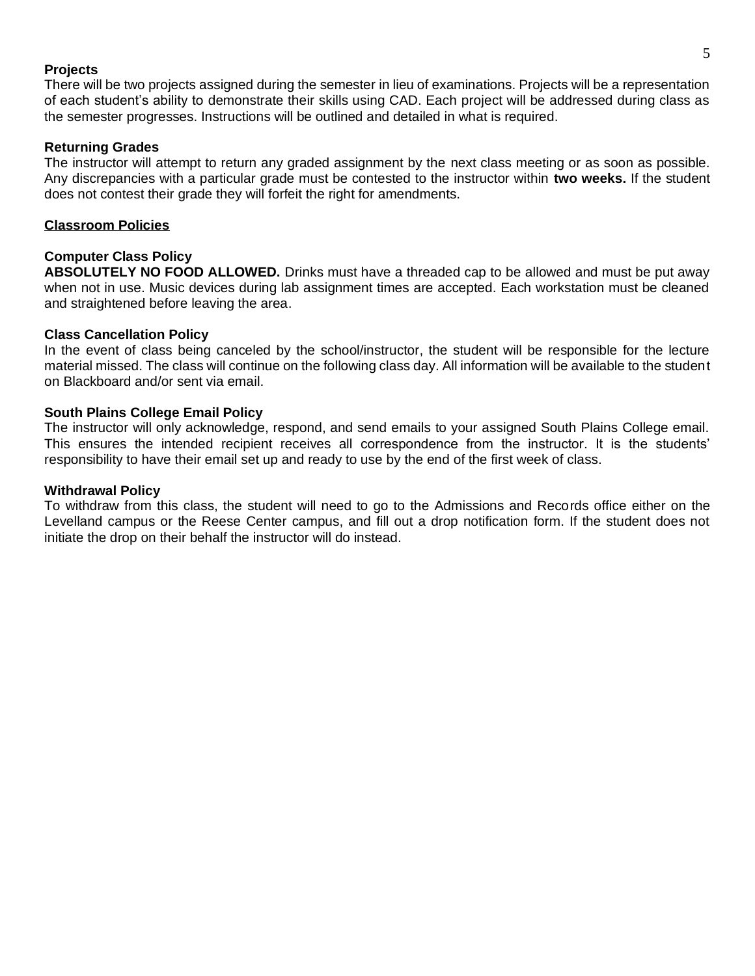#### **Projects**

There will be two projects assigned during the semester in lieu of examinations. Projects will be a representation of each student's ability to demonstrate their skills using CAD. Each project will be addressed during class as the semester progresses. Instructions will be outlined and detailed in what is required.

#### **Returning Grades**

The instructor will attempt to return any graded assignment by the next class meeting or as soon as possible. Any discrepancies with a particular grade must be contested to the instructor within **two weeks.** If the student does not contest their grade they will forfeit the right for amendments.

#### **Classroom Policies**

## **Computer Class Policy**

**ABSOLUTELY NO FOOD ALLOWED.** Drinks must have a threaded cap to be allowed and must be put away when not in use. Music devices during lab assignment times are accepted. Each workstation must be cleaned and straightened before leaving the area.

#### **Class Cancellation Policy**

In the event of class being canceled by the school/instructor, the student will be responsible for the lecture material missed. The class will continue on the following class day. All information will be available to the student on Blackboard and/or sent via email.

#### **South Plains College Email Policy**

The instructor will only acknowledge, respond, and send emails to your assigned South Plains College email. This ensures the intended recipient receives all correspondence from the instructor. It is the students' responsibility to have their email set up and ready to use by the end of the first week of class.

#### **Withdrawal Policy**

To withdraw from this class, the student will need to go to the Admissions and Records office either on the Levelland campus or the Reese Center campus, and fill out a drop notification form. If the student does not initiate the drop on their behalf the instructor will do instead.